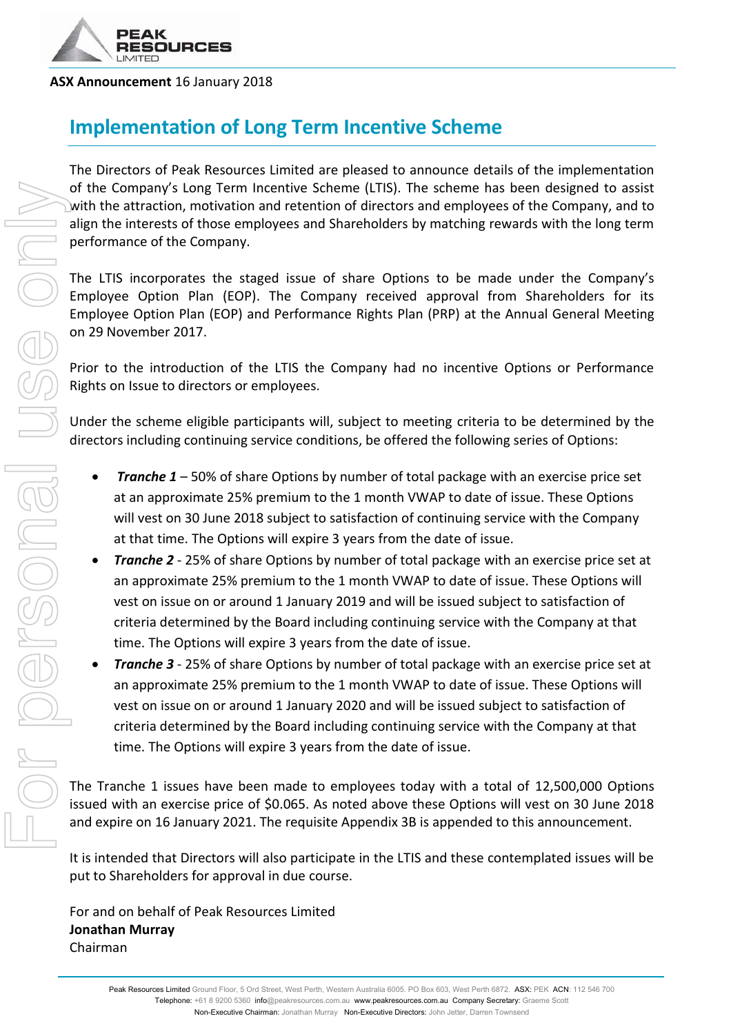

#### **ASX Announcement** 16 January 2018

## **Implementation of Long Term Incentive Scheme**

The Directors of Peak Resources Limited are pleased to announce details of the implementation of the Company's Long Term Incentive Scheme (LTIS). The scheme has been designed to assist with the attraction, motivation and retention of directors and employees of the Company, and to align the interests of those employees and Shareholders by matching rewards with the long term performance of the Company.

The LTIS incorporates the staged issue of share Options to be made under the Company's Employee Option Plan (EOP). The Company received approval from Shareholders for its Employee Option Plan (EOP) and Performance Rights Plan (PRP) at the Annual General Meeting on 29 November 2017.

Prior to the introduction of the LTIS the Company had no incentive Options or Performance Rights on Issue to directors or employees.

Under the scheme eligible participants will, subject to meeting criteria to be determined by the directors including continuing service conditions, be offered the following series of Options:

- *Tranche 1* 50% of share Options by number of total package with an exercise price set at an approximate 25% premium to the 1 month VWAP to date of issue. These Options will vest on 30 June 2018 subject to satisfaction of continuing service with the Company at that time. The Options will expire 3 years from the date of issue.
- *Tranche 2* 25% of share Options by number of total package with an exercise price set at an approximate 25% premium to the 1 month VWAP to date of issue. These Options will vest on issue on or around 1 January 2019 and will be issued subject to satisfaction of criteria determined by the Board including continuing service with the Company at that time. The Options will expire 3 years from the date of issue.
- **Tranche 3** 25% of share Options by number of total package with an exercise price set at an approximate 25% premium to the 1 month VWAP to date of issue. These Options will vest on issue on or around 1 January 2020 and will be issued subject to satisfaction of criteria determined by the Board including continuing service with the Company at that time. The Options will expire 3 years from the date of issue.

The Tranche 1 issues have been made to employees today with a total of 12,500,000 Options issued with an exercise price of \$0.065. As noted above these Options will vest on 30 June 2018 and expire on 16 January 2021. The requisite Appendix 3B is appended to this announcement.

It is intended that Directors will also participate in the LTIS and these contemplated issues will be put to Shareholders for approval in due course.

For and on behalf of Peak Resources Limited **Jonathan Murray**  Chairman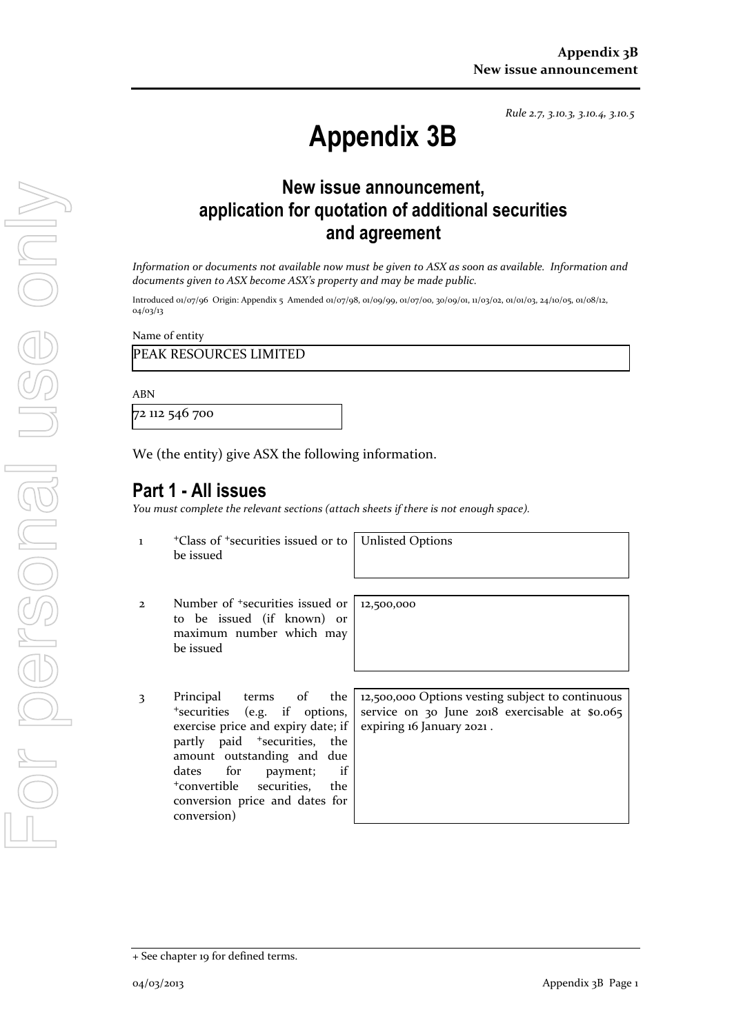*Rule 2.7, 3.10.3, 3.10.4, 3.10.5*

# **Appendix 3B**

## **New issue announcement, application for quotation of additional securities and agreement**

*Information or documents not available now must be given to ASX as soon as available. Information and documents given to ASX become ASX's property and may be made public.*

Introduced 01/07/96 Origin: Appendix 5 Amended 01/07/98, 01/09/99, 01/07/00, 30/09/01, 11/03/02, 01/01/03, 24/10/05, 01/08/12, 04/03/13

Name of entity

PEAK RESOURCES LIMITED

ABN

72 112 546 700

We (the entity) give ASX the following information.

### **Part 1 - All issues**

*You must complete the relevant sections (attach sheets if there is not enough space).*

1 +Class of +securities issued or to be issued

Unlisted Options

12,500,000

- 2 Number of +securities issued or to be issued (if known) or maximum number which may be issued
- 3 Principal terms of the <sup>+</sup>securities (e.g. if options, exercise price and expiry date; if partly paid <sup>+</sup>securities, the amount outstanding and due dates for payment; if <sup>+</sup>convertible securities, the conversion price and dates for conversion)

12,500,000 Options vesting subject to continuous service on 30 June 2018 exercisable at \$0.065 expiring 16 January 2021 .

<sup>+</sup> See chapter 19 for defined terms.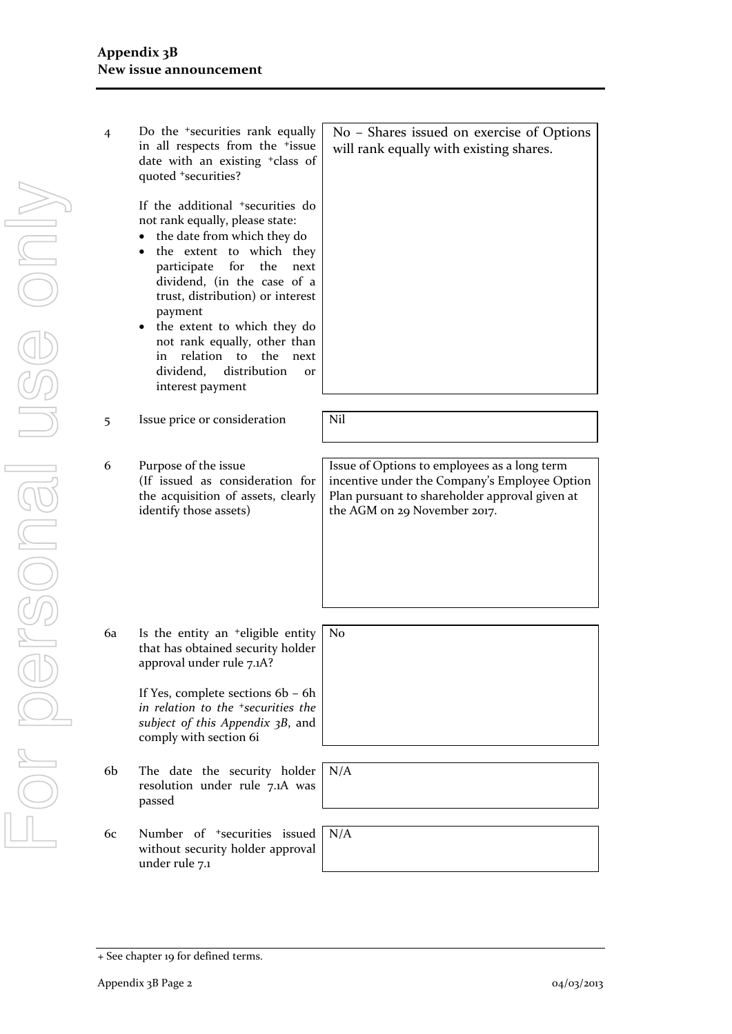| 4  | Do the <sup>+</sup> securities rank equally<br>in all respects from the <sup>+</sup> issue<br>date with an existing <sup>+</sup> class of<br>quoted +securities?                                                                                                                                                                                                                                                                               | No - Shares issued on exercise of Options<br>will rank equally with existing shares.                                                                                            |
|----|------------------------------------------------------------------------------------------------------------------------------------------------------------------------------------------------------------------------------------------------------------------------------------------------------------------------------------------------------------------------------------------------------------------------------------------------|---------------------------------------------------------------------------------------------------------------------------------------------------------------------------------|
|    | If the additional <sup>+</sup> securities do<br>not rank equally, please state:<br>the date from which they do<br>the extent to which they<br>$\bullet$<br>participate<br>for<br>the<br>next<br>dividend, (in the case of a<br>trust, distribution) or interest<br>payment<br>the extent to which they do<br>not rank equally, other than<br>relation<br>to<br>the<br>in<br>next<br>distribution<br>dividend,<br><b>Or</b><br>interest payment |                                                                                                                                                                                 |
| 5  | Issue price or consideration                                                                                                                                                                                                                                                                                                                                                                                                                   | Nil                                                                                                                                                                             |
| 6  | Purpose of the issue<br>(If issued as consideration for<br>the acquisition of assets, clearly<br>identify those assets)                                                                                                                                                                                                                                                                                                                        | Issue of Options to employees as a long term<br>incentive under the Company's Employee Option<br>Plan pursuant to shareholder approval given at<br>the AGM on 29 November 2017. |
|    |                                                                                                                                                                                                                                                                                                                                                                                                                                                |                                                                                                                                                                                 |
| 6a | Is the entity an <sup>+</sup> eligible entity<br>that has obtained security holder<br>approval under rule 7.1A?                                                                                                                                                                                                                                                                                                                                | No                                                                                                                                                                              |
|    | If Yes, complete sections 6b - 6h<br>in relation to the <sup>+</sup> securities the<br>subject of this Appendix 3B, and<br>comply with section 6i                                                                                                                                                                                                                                                                                              |                                                                                                                                                                                 |
|    |                                                                                                                                                                                                                                                                                                                                                                                                                                                |                                                                                                                                                                                 |

- 6b The date the security holder resolution under rule 7.1A was passed
- 6c Number of +securities issued without security holder approval under rule 7.1



N/A

<sup>+</sup> See chapter 19 for defined terms.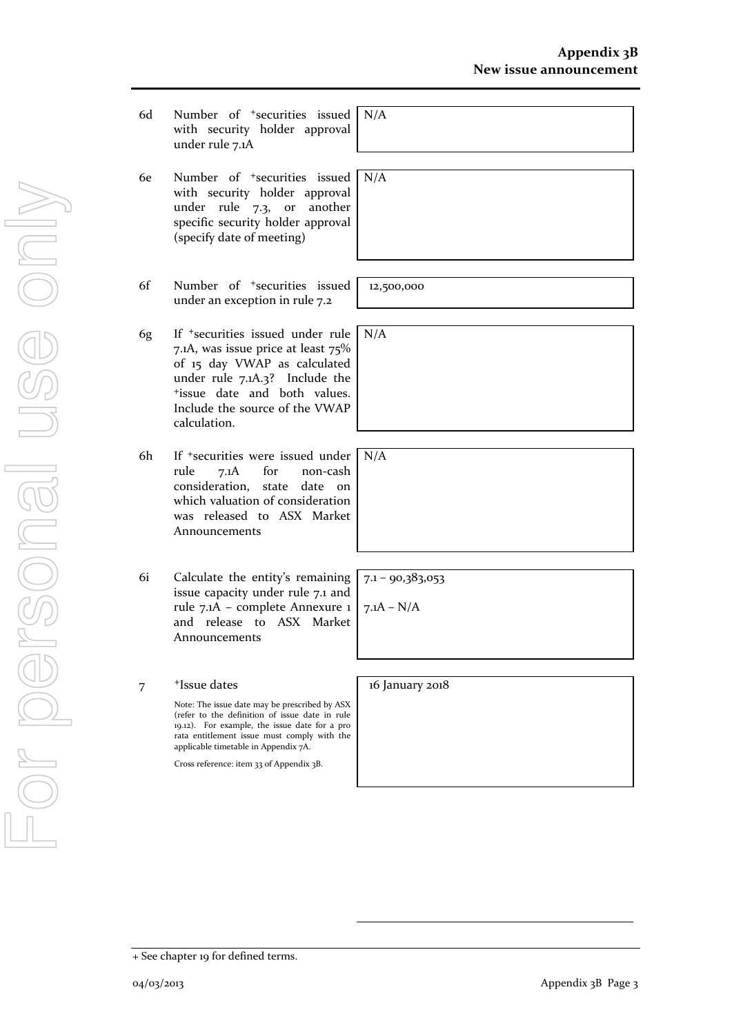- 6d Number of +securities issued with security holder approval under rule 7.1A
- 6e Number of +securities issued with security holder approval under rule 7.3, or another specific security holder approval (specify date of meeting)
- 6f Number of +securities issued under an exception in rule 7.2
- 6g If +securities issued under rule 7.1A, was issue price at least 75% of 15 day VWAP as calculated under rule 7.1A.3? Include the <sup>+</sup>issue date and both values. Include the source of the VWAP calculation.
- 6h If +securities were issued under rule 7.1A for non-cash consideration, state date on which valuation of consideration was released to ASX Market Announcements
- 6i Calculate the entity's remaining issue capacity under rule 7.1 and rule 7.1A – complete Annexure 1 and release to ASX Market Announcements

7 +Issue dates Note: The issue date may be prescribed by ASX (refer to the definition of issue date in rule 19.12). For example, the issue date for a pro rata entitlement issue must comply with the applicable timetable in Appendix 7A.

Cross reference: item 33 of Appendix 3B.

N/A

N/A

12,500,000

N/A

N/A

 $7.1 - 90,383,053$ 

 $7.1A - N/A$ 

16 January 2018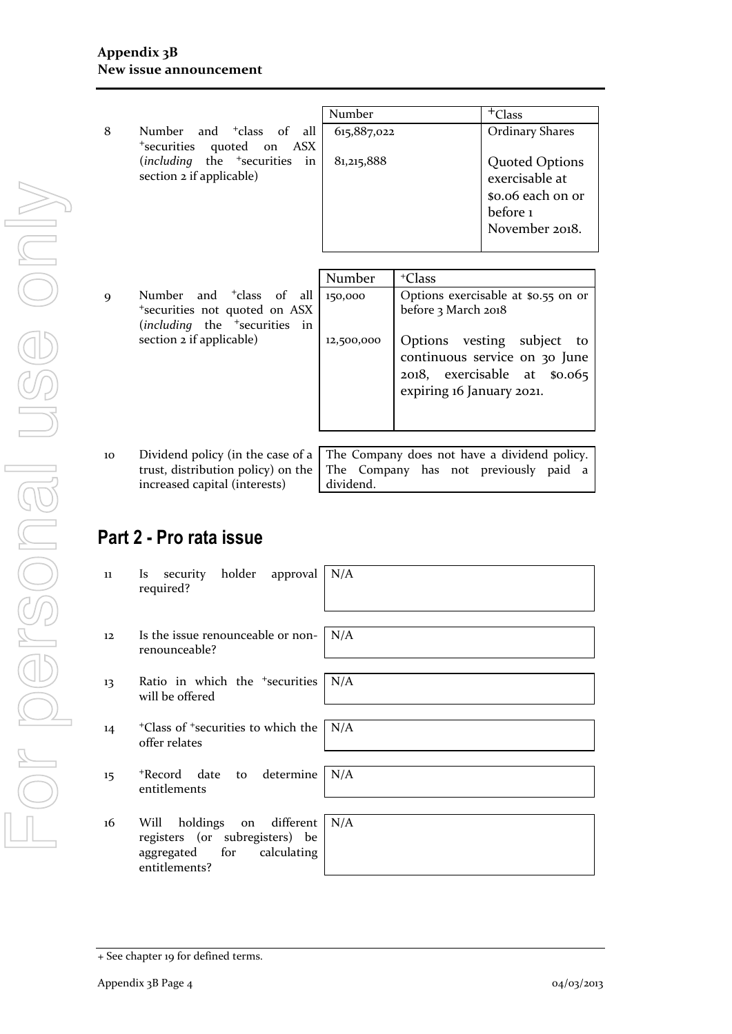| Number<br><sup>+</sup> Class<br>Number and <sup>+</sup> class of all<br>8<br>615,887,022<br>*securities quoted on ASX<br>(including the <sup>+</sup> securities in<br>81,215,888<br>section 2 if applicable)<br>exercisable at<br>before 1 |  |                                                             |
|--------------------------------------------------------------------------------------------------------------------------------------------------------------------------------------------------------------------------------------------|--|-------------------------------------------------------------|
|                                                                                                                                                                                                                                            |  |                                                             |
|                                                                                                                                                                                                                                            |  | <b>Ordinary Shares</b>                                      |
|                                                                                                                                                                                                                                            |  | <b>Quoted Options</b><br>so.o6 each on or<br>November 2018. |
| $N$ Lectra $\mathbf{L}$<br>$+Cl_{2.22}$                                                                                                                                                                                                    |  |                                                             |

|    |                                                                                       | Number     | <sup>+</sup> Class                                        |
|----|---------------------------------------------------------------------------------------|------------|-----------------------------------------------------------|
| 9  | Number and <sup>+</sup> class of all                                                  | 150,000    | Options exercisable at \$0.55 on or                       |
|    | *securities not quoted on ASX<br>( <i>including</i> the <sup>+</sup> securities<br>in |            | before 3 March 2018                                       |
|    | section 2 if applicable)                                                              | 12,500,000 | Options vesting subject to                                |
|    |                                                                                       |            | continuous service on 30 June                             |
|    |                                                                                       |            | 2018, exercisable at \$0.065<br>expiring 16 January 2021. |
|    |                                                                                       |            |                                                           |
|    |                                                                                       |            |                                                           |
| 10 | Dividend policy (in the case of a $\vert$                                             |            | The Company does not have a dividend policy.              |
|    | trust, distribution policy) on the                                                    |            | The Company has not previously<br>paid a                  |

dividend.

## **Part 2 - Pro rata issue**

increased capital (interests)

| 11 | security holder approval N/A<br><b>Is</b><br>required?                                                         |            |
|----|----------------------------------------------------------------------------------------------------------------|------------|
|    |                                                                                                                |            |
| 12 | Is the issue renounceable or non-<br>renounceable?                                                             | N/A        |
|    |                                                                                                                |            |
| 13 | Ratio in which the <sup>+</sup> securities<br>will be offered                                                  | $\mid N/A$ |
|    |                                                                                                                |            |
| 14 | $\pm$ Class of $\pm$ securities to which the   N/A<br>offer relates                                            |            |
|    |                                                                                                                |            |
| 15 | *Record date to determine<br>entitlements                                                                      | N/A        |
|    |                                                                                                                |            |
| 16 | holdings on different<br>Will<br>registers (or subregisters) be<br>aggregated for calculating<br>entitlements? | N/A        |
|    |                                                                                                                |            |

<sup>+</sup> See chapter 19 for defined terms.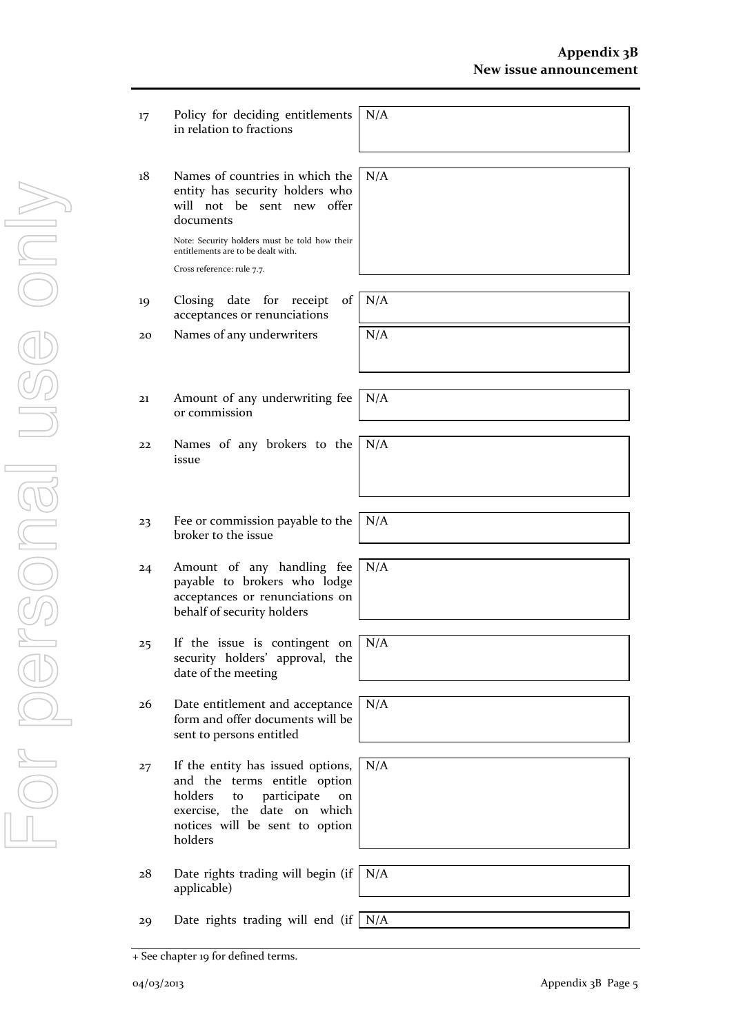- 17 Policy for deciding entitlements in relation to fractions N/A
- 18 Names of countries in which the entity has security holders who will not be sent new offer documents

Note: Security holders must be told how their entitlements are to be dealt with. Cross reference: rule 7.7.

- 19 Closing date for receipt of acceptances or renunciations
- 20 Names of any underwriters N/A
- 21 Amount of any underwriting fee or commission
- 22 Names of any brokers to the issue
- 23 Fee or commission payable to the broker to the issue
- 24 Amount of any handling fee payable to brokers who lodge acceptances or renunciations on behalf of security holders
- 25 If the issue is contingent on security holders' approval, the date of the meeting
- 26 Date entitlement and acceptance form and offer documents will be sent to persons entitled
- 27 If the entity has issued options, and the terms entitle option holders to participate on exercise, the date on which notices will be sent to option holders
- 28 Date rights trading will begin (if N/A applicable)
- 29 Date rights trading will end (if  $N/A$
- + See chapter 19 for defined terms.

N/A

N/A

N/A

N/A

N/A

N/A

N/A

N/A

N/A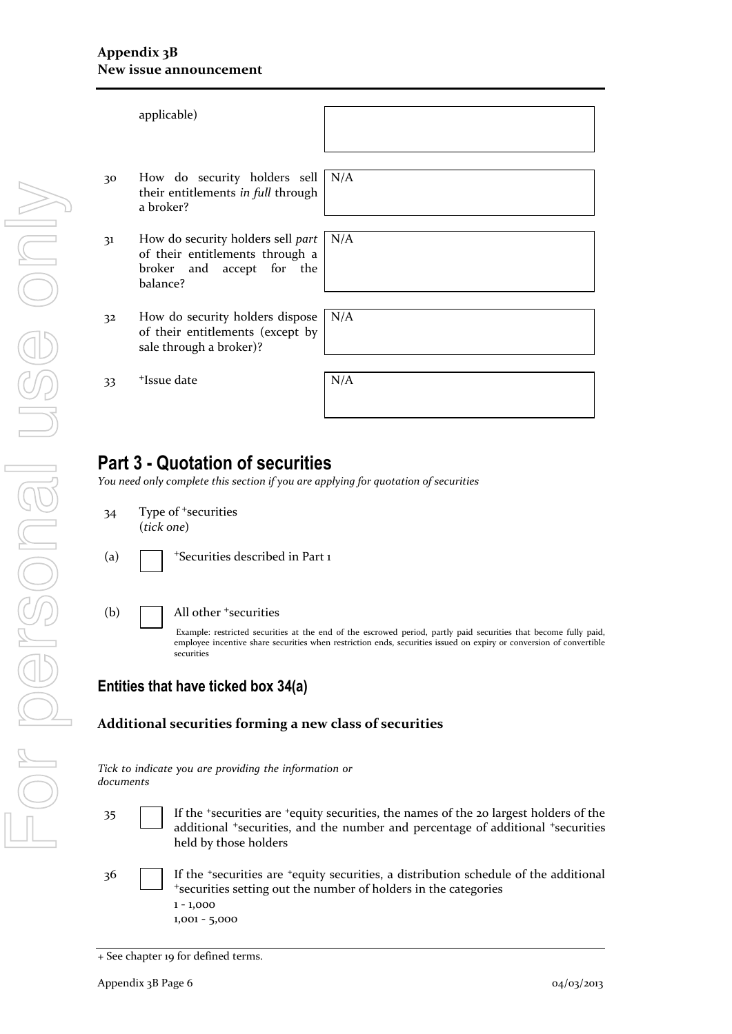|                | applicable)                                                                                                           |     |
|----------------|-----------------------------------------------------------------------------------------------------------------------|-----|
| 30             | How do security holders sell<br>their entitlements in full through<br>a broker?                                       | N/A |
| 31             | How do security holders sell part $  N/A$<br>of their entitlements through a<br>broker and accept for the<br>balance? |     |
| 3 <sup>2</sup> | How do security holders dispose<br>of their entitlements (except by<br>sale through a broker)?                        | N/A |
| 33             | <sup>+</sup> Issue date                                                                                               | N/A |

## **Part 3 - Quotation of securities**

*You need only complete this section if you are applying for quotation of securities* 

- 34 Type of <sup>+</sup>securities (*tick one*)
- 

(a)  $\Box$  + Securities described in Part 1



(b)  $\Box$  All other  $\ddagger$  securities

Example: restricted securities at the end of the escrowed period, partly paid securities that become fully paid, employee incentive share securities when restriction ends, securities issued on expiry or conversion of convertible securities

#### **Entities that have ticked box 34(a)**

#### **Additional securities forming a new class of securities**

| Tick to indicate you are providing the information or |  |  |  |
|-------------------------------------------------------|--|--|--|
| documents                                             |  |  |  |

- 35 If the +securities are +equity securities, the names of the 20 largest holders of the additional <sup>+</sup>securities, and the number and percentage of additional <sup>+</sup>securities held by those holders
- 36 If the <sup>+</sup>securities are <sup>+</sup>equity securities, a distribution schedule of the additional <sup>+</sup>securities setting out the number of holders in the categories 1 - 1,000 1,001 - 5,000

<sup>+</sup> See chapter 19 for defined terms.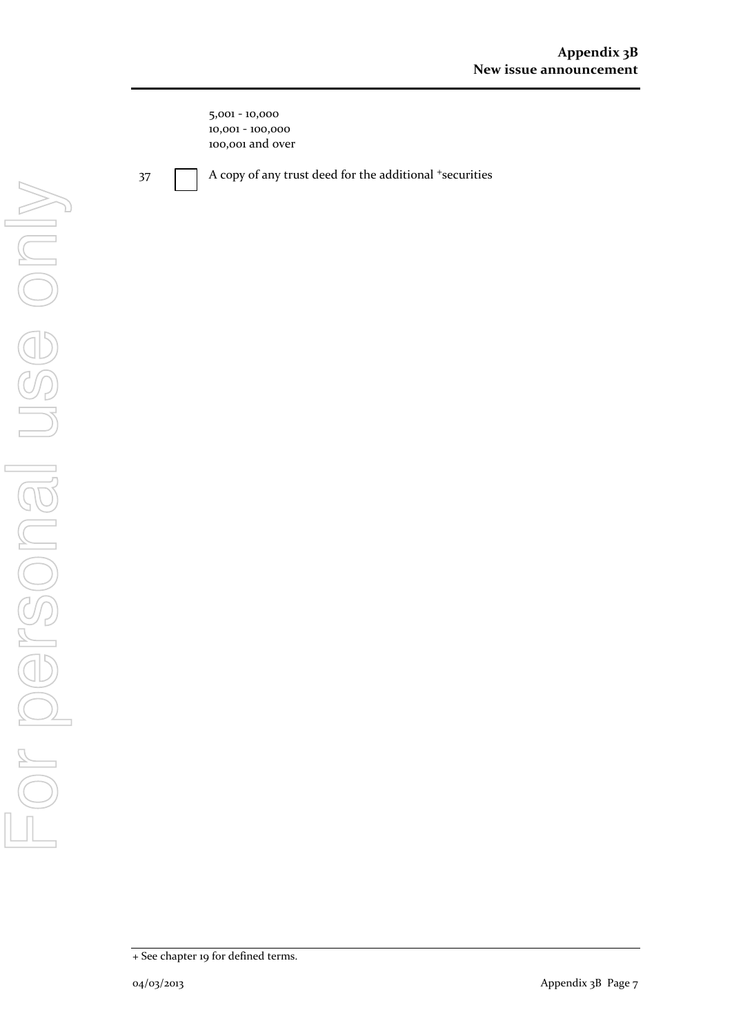5,001 - 10,000 10,001 - 100,000 100,001 and over

37 A copy of any trust deed for the additional +securities

<sup>+</sup> See chapter 19 for defined terms.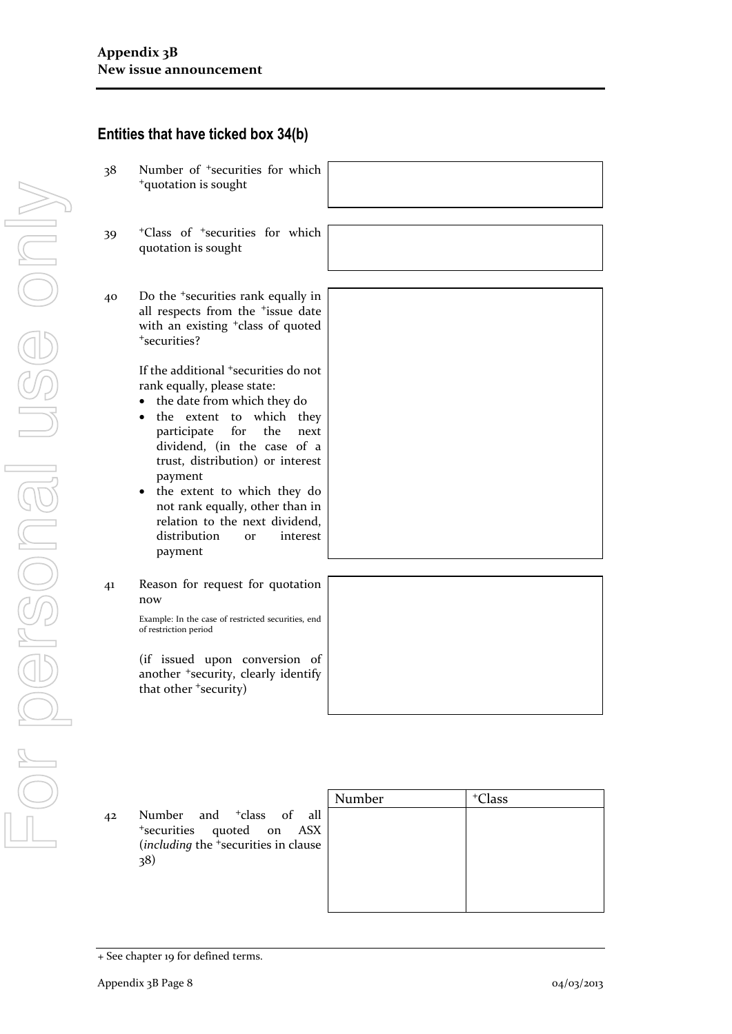**Entities that have ticked box 34(b)** 

|               | Number | <sup>+</sup> Class |
|---------------|--------|--------------------|
| $\mathbf{ll}$ |        |                    |
| X             |        |                    |
| sе            |        |                    |
|               |        |                    |
|               |        |                    |
|               |        |                    |
|               |        |                    |

+securities quoted on AS<br>(*including* the +securities in claus 38)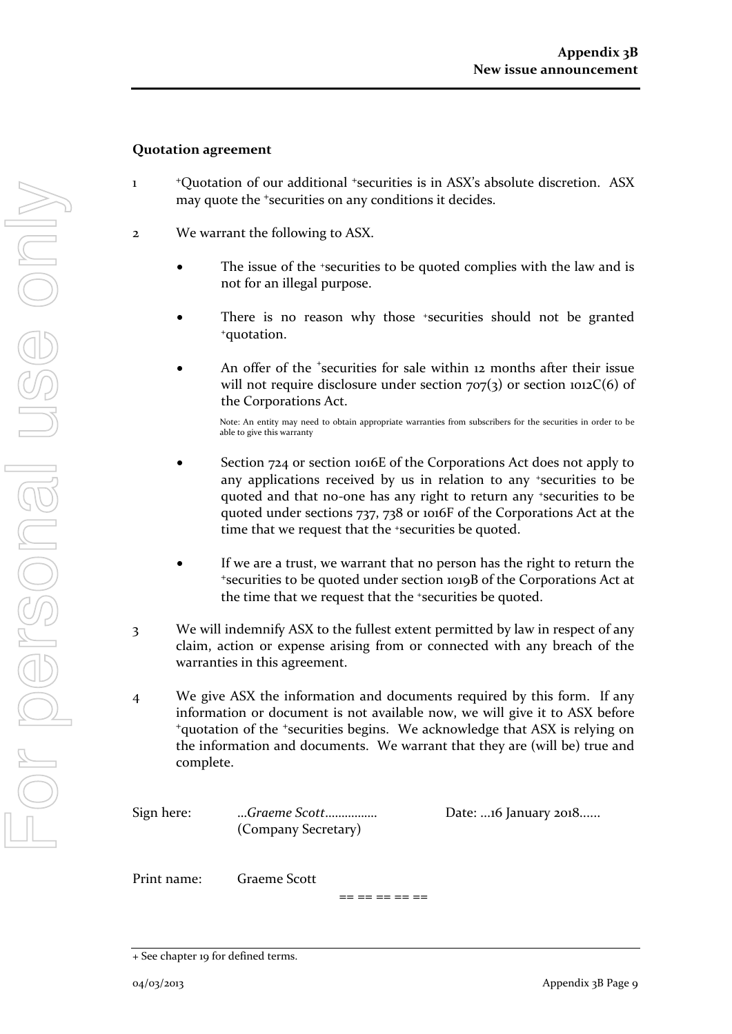#### **Quotation agreement**

- 1 <sup>+</sup>Quotation of our additional <sup>+</sup>securities is in ASX's absolute discretion. ASX may quote the <sup>+</sup>securities on any conditions it decides.
- 2 We warrant the following to ASX.
	- The issue of the +securities to be quoted complies with the law and is not for an illegal purpose.
	- There is no reason why those *\*securities* should not be granted <sup>+</sup>quotation.
	- An offer of the <sup>+</sup>securities for sale within 12 months after their issue will not require disclosure under section  $707(3)$  or section  $1012C(6)$  of the Corporations Act.

Note: An entity may need to obtain appropriate warranties from subscribers for the securities in order to be able to give this warranty

- Section 724 or section 1016E of the Corporations Act does not apply to any applications received by us in relation to any +securities to be quoted and that no-one has any right to return any +securities to be quoted under sections 737, 738 or 1016F of the Corporations Act at the time that we request that the <sup>+</sup>securities be quoted.
- If we are a trust, we warrant that no person has the right to return the <sup>+</sup>securities to be quoted under section 1019B of the Corporations Act at the time that we request that the +securities be quoted.
- 3 We will indemnify ASX to the fullest extent permitted by law in respect of any claim, action or expense arising from or connected with any breach of the warranties in this agreement.
- 4 We give ASX the information and documents required by this form. If any information or document is not available now, we will give it to ASX before <sup>+</sup>quotation of the <sup>+</sup>securities begins. We acknowledge that ASX is relying on the information and documents. We warrant that they are (will be) true and complete.

(Company Secretary)

Sign here: …*Graeme Scott*……………. Date: ...16 January 2018......

Print name: Graeme Scott

== == == == ==

<sup>+</sup> See chapter 19 for defined terms.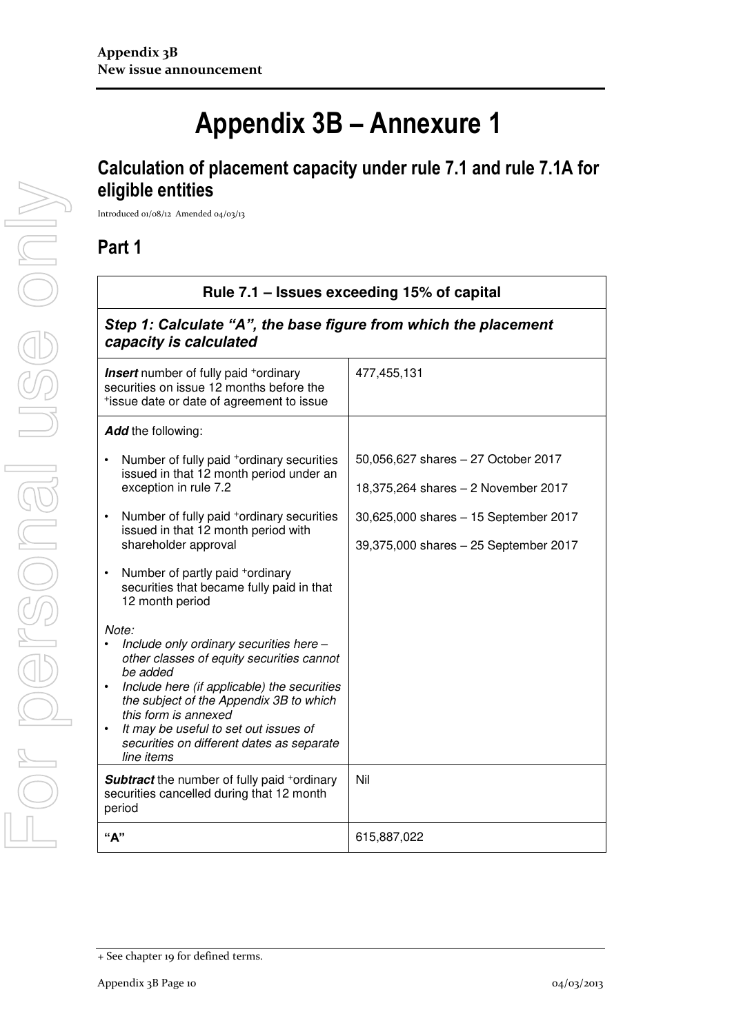# **Appendix 3B – Annexure 1**

## **Calculation of placement capacity under rule 7.1 and rule 7.1A for eligible entities**

Introduced 01/08/12 Amended 04/03/13

### **Part 1**

| Rule 7.1 – Issues exceeding 15% of capital<br>Step 1: Calculate "A", the base figure from which the placement<br>capacity is calculated                                                                                                                                                                                         |                                       |  |
|---------------------------------------------------------------------------------------------------------------------------------------------------------------------------------------------------------------------------------------------------------------------------------------------------------------------------------|---------------------------------------|--|
|                                                                                                                                                                                                                                                                                                                                 |                                       |  |
| Add the following:                                                                                                                                                                                                                                                                                                              |                                       |  |
| Number of fully paid <sup>+</sup> ordinary securities                                                                                                                                                                                                                                                                           | 50,056,627 shares - 27 October 2017   |  |
| issued in that 12 month period under an<br>exception in rule 7.2                                                                                                                                                                                                                                                                | 18,375,264 shares - 2 November 2017   |  |
| Number of fully paid <sup>+</sup> ordinary securities<br>$\bullet$<br>issued in that 12 month period with                                                                                                                                                                                                                       | 30,625,000 shares - 15 September 2017 |  |
| shareholder approval                                                                                                                                                                                                                                                                                                            | 39,375,000 shares - 25 September 2017 |  |
| Number of partly paid +ordinary<br>$\bullet$<br>securities that became fully paid in that<br>12 month period                                                                                                                                                                                                                    |                                       |  |
| Note:<br>Include only ordinary securities here -<br>other classes of equity securities cannot<br>be added<br>Include here (if applicable) the securities<br>the subject of the Appendix 3B to which<br>this form is annexed<br>It may be useful to set out issues of<br>securities on different dates as separate<br>line items |                                       |  |
| <b>Subtract</b> the number of fully paid +ordinary<br>securities cancelled during that 12 month<br>period                                                                                                                                                                                                                       | Nil                                   |  |
| "A"                                                                                                                                                                                                                                                                                                                             | 615,887,022                           |  |

<sup>+</sup> See chapter 19 for defined terms.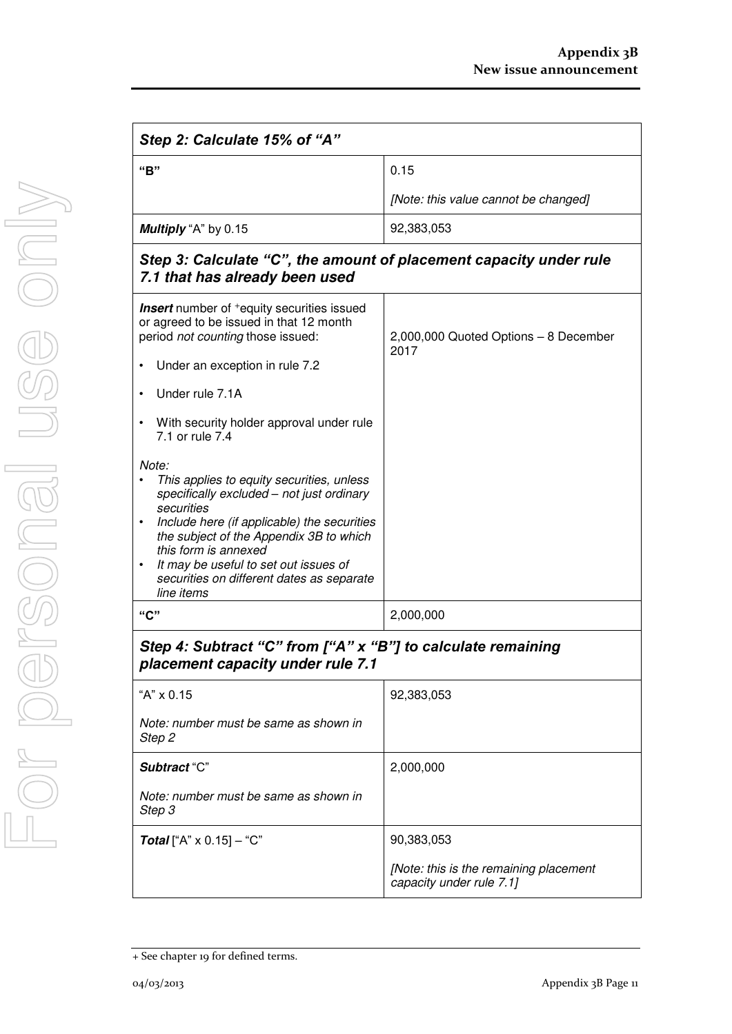| Step 2: Calculate 15% of "A"                                                                                                                                                                                                                                                                                                                                  |                                               |  |
|---------------------------------------------------------------------------------------------------------------------------------------------------------------------------------------------------------------------------------------------------------------------------------------------------------------------------------------------------------------|-----------------------------------------------|--|
| "B"                                                                                                                                                                                                                                                                                                                                                           | 0.15                                          |  |
|                                                                                                                                                                                                                                                                                                                                                               | [Note: this value cannot be changed]          |  |
| Multiply "A" by 0.15<br>92,383,053                                                                                                                                                                                                                                                                                                                            |                                               |  |
| Step 3: Calculate "C", the amount of placement capacity under rule<br>7.1 that has already been used                                                                                                                                                                                                                                                          |                                               |  |
| <b>Insert</b> number of <sup>+</sup> equity securities issued<br>or agreed to be issued in that 12 month<br>period not counting those issued:                                                                                                                                                                                                                 | 2,000,000 Quoted Options - 8 December<br>2017 |  |
| Under an exception in rule 7.2<br>$\bullet$                                                                                                                                                                                                                                                                                                                   |                                               |  |
| Under rule 7.1A<br>$\bullet$                                                                                                                                                                                                                                                                                                                                  |                                               |  |
| With security holder approval under rule<br>$\bullet$<br>7.1 or rule 7.4                                                                                                                                                                                                                                                                                      |                                               |  |
| Note:<br>This applies to equity securities, unless<br>$\bullet$<br>specifically excluded - not just ordinary<br>securities<br>Include here (if applicable) the securities<br>$\bullet$<br>the subject of the Appendix 3B to which<br>this form is annexed<br>It may be useful to set out issues of<br>securities on different dates as separate<br>line items |                                               |  |
| "C"                                                                                                                                                                                                                                                                                                                                                           | 2,000,000                                     |  |
| Step 4: Subtract "C" from ["A" x "B"] to calculate remaining<br>placement capacity under rule 7.1                                                                                                                                                                                                                                                             |                                               |  |
| "A" x 0.15                                                                                                                                                                                                                                                                                                                                                    | 92,383,053                                    |  |

| "A" X 0.15                                      | 92.383.053                                                         |
|-------------------------------------------------|--------------------------------------------------------------------|
| Note: number must be same as shown in<br>Step 2 |                                                                    |
| Subtract "C"                                    | 2,000,000                                                          |
| Note: number must be same as shown in<br>Step 3 |                                                                    |
| <b>Total</b> ["A" $\times$ 0.15] – "C"          | 90,383,053                                                         |
|                                                 | [Note: this is the remaining placement<br>capacity under rule 7.1] |

<sup>+</sup> See chapter 19 for defined terms.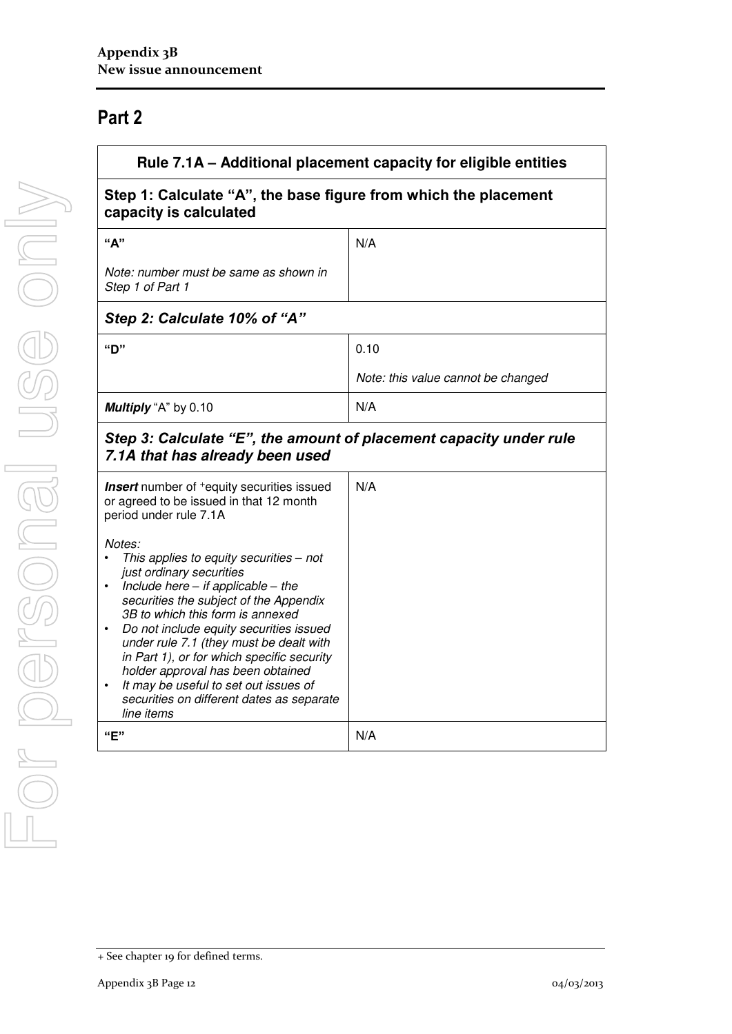## **Part 2**

| Rule 7.1A – Additional placement capacity for eligible entities                                                                                                                                                                                                                                                                                                                                                                                                                           |                                    |  |
|-------------------------------------------------------------------------------------------------------------------------------------------------------------------------------------------------------------------------------------------------------------------------------------------------------------------------------------------------------------------------------------------------------------------------------------------------------------------------------------------|------------------------------------|--|
| Step 1: Calculate "A", the base figure from which the placement<br>capacity is calculated                                                                                                                                                                                                                                                                                                                                                                                                 |                                    |  |
| "A"                                                                                                                                                                                                                                                                                                                                                                                                                                                                                       | N/A                                |  |
| Note: number must be same as shown in<br>Step 1 of Part 1                                                                                                                                                                                                                                                                                                                                                                                                                                 |                                    |  |
| Step 2: Calculate 10% of "A"                                                                                                                                                                                                                                                                                                                                                                                                                                                              |                                    |  |
| "D"                                                                                                                                                                                                                                                                                                                                                                                                                                                                                       | 0.10                               |  |
|                                                                                                                                                                                                                                                                                                                                                                                                                                                                                           | Note: this value cannot be changed |  |
| Multiply "A" by 0.10                                                                                                                                                                                                                                                                                                                                                                                                                                                                      | N/A                                |  |
| Step 3: Calculate "E", the amount of placement capacity under rule<br>7.1A that has already been used                                                                                                                                                                                                                                                                                                                                                                                     |                                    |  |
| <b>Insert</b> number of <sup>+</sup> equity securities issued<br>or agreed to be issued in that 12 month<br>period under rule 7.1A                                                                                                                                                                                                                                                                                                                                                        | N/A                                |  |
| Notes:<br>This applies to equity securities - not<br>just ordinary securities<br>Include here $-$ if applicable $-$ the<br>securities the subject of the Appendix<br>3B to which this form is annexed<br>Do not include equity securities issued<br>under rule 7.1 (they must be dealt with<br>in Part 1), or for which specific security<br>holder approval has been obtained<br>It may be useful to set out issues of<br>securities on different dates as separate<br>line items<br>"E" |                                    |  |
|                                                                                                                                                                                                                                                                                                                                                                                                                                                                                           | N/A                                |  |

<sup>+</sup> See chapter 19 for defined terms.